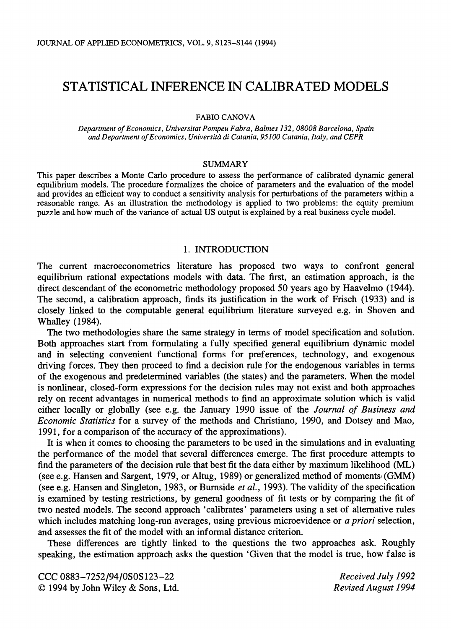# **STATISTICAL INFERENCE IN CALIBRATED MODELS**

**FABIO CANOVA** 

**Department of Economics, Universitat Pompeu Fabra, Balmes 132, 08008 Barcelona, Spain and Department of Economics, Universitd di Catania, 95100 Catania, Italy, and CEPR** 

#### **SUMMARY**

**This paper describes a Monte Carlo procedure to assess the performance of calibrated dynamic general equilibrium models. The procedure formalizes the choice of parameters and the evaluation of the model and provides an efficient way to conduct a sensitivity analysis for perturbations of the parameters within a reasonable range. As an illustration the methodology is applied to two problems: the equity premium puzzle and how much of the variance of actual US output is explained by a real business cycle model.** 

# **1. INTRODUCTION**

**The current macroeconometrics literature has proposed two ways to confront general equilibrium rational expectations models with data. The first, an estimation approach, is the direct descendant of the econometric methodology proposed 50 years ago by Haavelmo (1944). The second, a calibration approach, finds its justification in the work of Frisch (1933) and is closely linked to the computable general equilibrium literature surveyed e.g. in Shoven and Whalley (1984).** 

**The two methodologies share the same strategy in terms of model specification and solution. Both approaches start from formulating a fully specified general equilibrium dynamic model and in selecting convenient functional forms for preferences, technology, and exogenous driving forces. They then proceed to find a decision rule for the endogenous variables in terms of the exogenous and predetermined variables (the states) and the parameters. When the model is nonlinear, closed-form expressions for the decision rules may not exist and both approaches rely on recent advantages in numerical methods to find an approximate solution which is valid either locally or globally (see e.g. the January 1990 issue of the Journal of Business and Economic Statistics for a survey of the methods and Christiano, 1990, and Dotsey and Mao, 1991, for a comparison of the accuracy of the approximations).** 

**It is when it comes to choosing the parameters to be used in the simulations and in evaluating the performance of the model that several differences emerge. The first procedure attempts to find the parameters of the decision rule that best fit the data either by maximum likelihood (ML) (see e.g. Hansen and Sargent, 1979, or Altug, 1989) or generalized method of moments, (GMM) (see e.g. Hansen and Singleton, 1983, or Burnside et al., 1993). The validity of the specification is examined by testing restrictions, by general goodness of fit tests or by comparing the fit of two nested models. The second approach 'calibrates' parameters using a set of alternative rules which includes matching long-run averages, using previous microevidence or a priori selection, and assesses the fit of the model with an informal distance criterion.** 

**These differences are tightly linked to the questions the two approaches ask. Roughly speaking, the estimation approach asks the question 'Given that the model is true, how false is** 

**CCC 0883–7252/94/0S0S123–22** Received July 1992<br>
© 1994 by John Wiley & Sons, Ltd. Revised August 1994  $© 1994 by John Wiley & Sons, Ltd.$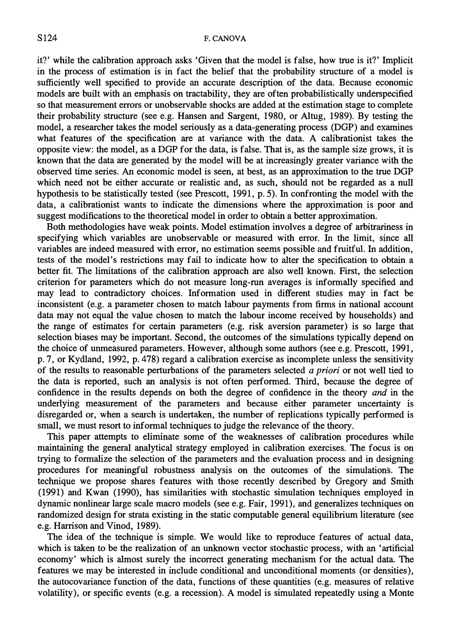**it?' while the calibration approach asks 'Given that the model is false, how true is it?' Implicit in the process of estimation is in fact the belief that the probability structure of a model is sufficiently well specified to provide an accurate description of the data. Because economic models are built with an emphasis on tractability, they are often probabilistically underspecified so that measurement errors or unobservable shocks are added at the estimation stage to complete their probability structure (see e.g. Hansen and Sargent, 1980, or Altug, 1989). By testing the model, a researcher takes the model seriously as a data-generating process (DGP) and examines what features of the specification are at variance with the data. A calibrationist takes the opposite view: the model, as a DGP for the data, is false. That is, as the sample size grows, it is known that the data are generated by the model will be at increasingly greater variance with the observed time series. An economic model is seen, at best, as an approximation to the true DGP which need not be either accurate or realistic and, as such, should not be regarded as a null hypothesis to be statistically tested (see Prescott, 1991, p. 5). In confronting the model with the data, a calibrationist wants to indicate the dimensions where the approximation is poor and suggest modifications to the theoretical model in order to obtain a better approximation.** 

**Both methodologies have weak points. Model estimation involves a degree of arbitrariness in specifying which variables are unobservable or measured with error. In the limit, since all variables are indeed measured with error, no estimation seems possible and fruitful. In addition, tests of the model's restrictions may fail to indicate how to alter the specification to obtain a better fit. The limitations of the calibration approach are also well known. First, the selection criterion for parameters which do not measure long-run averages is informally specified and may lead to contradictory choices. Information used in different studies may in fact be inconsistent (e.g. a parameter chosen to match labour payments from firms in national account data may not equal the value chosen to match the labour income received by households) and the range of estimates for certain parameters (e.g. risk aversion parameter) is so large that selection biases may be important. Second, the outcomes of the simulations typically depend on the choice of unmeasured parameters. However, although some authors (see e.g. Prescott, 1991, p. 7, or Kydland, 1992, p. 478) regard a calibration exercise as incomplete unless the sensitivity of the results to reasonable perturbations of the parameters selected a priori or not well tied to the data is reported, such an analysis is not often performed. Third, because the degree of confidence in the results depends on both the degree of confidence in the theory and in the underlying measurement of the parameters and because either parameter uncertainty is disregarded or, when a search is undertaken, the number of replications typically performed is small, we must resort to informal techniques to judge the relevance of the theory.** 

**This paper attempts to eliminate some of the weaknesses of calibration procedures while maintaining the general analytical strategy employed in calibration exercises. The focus is on trying to formalize the selection of the parameters and the evaluation process and in designing procedures for meaningful robustness analysis on the outcomes of the simulations. The technique we propose shares features with those recently described by Gregory and Smith (1991) and Kwan (1990), has similarities with stochastic simulation techniques employed in dynamic nonlinear large scale macro models (see e.g. Fair, 1991), and generalizes techniques on randomized design for strata existing in the static computable general equilibrium literature (see e.g. Harrison and Vinod, 1989).** 

**The idea of the technique is simple. We would like to reproduce features of actual data, which is taken to be the realization of an unknown vector stochastic process, with an 'artificial economy' which is almost surely the incorrect generating mechanism for the actual data. The features we may be interested in include conditional and unconditional moments (or densities), the autocovariance function of the data, functions of these quantities (e.g. measures of relative volatility), or specific events (e.g. a recession). A model is simulated repeatedly using a Monte**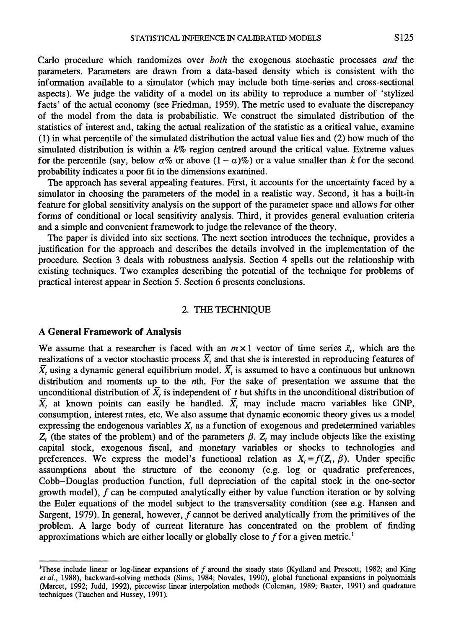**Carlo procedure which randomizes over both the exogenous stochastic processes and the parameters. Parameters are drawn from a data-based density which is consistent with the**  information available to a simulator (which may include both time-series and cross-sectional **aspects). We judge the validity of a model on its ability to reproduce a number of 'stylized facts' of the actual economy (see Friedman, 1959). The metric used to evaluate the discrepancy of the model from the data is probabilistic. We construct the simulated distribution of the statistics of interest and, taking the actual realization of the statistic as a critical value, examine (1) in what percentile of the simulated distribution the actual value lies and (2) how much of the simulated distribution is within a k% region centred around the critical value. Extreme values**  for the percentile (say, below  $\alpha$ % or above  $(1-\alpha)$ %) or a value smaller than k for the second **probability indicates a poor fit in the dimensions examined.** 

**The approach has several appealing features. First, it accounts for the uncertainty faced by a simulator in choosing the parameters of the model in a realistic way. Second, it has a built-in feature for global sensitivity analysis on the support of the parameter space and allows for other forms of conditional or local sensitivity analysis. Third, it provides general evaluation criteria and a simple and convenient framework to judge the relevance of the theory.** 

**The paper is divided into six sections. The next section introduces the technique, provides a justification for the approach and describes the details involved in the implementation of the procedure. Section 3 deals with robustness analysis. Section 4 spells out the relationship with existing techniques. Two examples describing the potential of the technique for problems of practical interest appear in Section 5. Section 6 presents conclusions.** 

## **2. THE TECHNIQUE**

## **A General Framework of Analysis**

We assume that a researcher is faced with an  $m \times 1$  vector of time series  $\bar{x}_i$ , which are the realizations of a vector stochastic process  $\overline{X}_t$  and that she is interested in reproducing features of  $\overline{X}_t$  using a dynamic general equilibrium model.  $\overline{X}_t$  is assumed to have a continuous but unknown **distribution and moments up to the nth. For the sake of presentation we assume that the**  unconditional distribution of  $\overline{X}$ , is independent of t but shifts in the unconditional distribution of  $\overline{X}_t$  at known points can easily be handled.  $\overline{X}_t$  may include macro variables like GNP, **consumption, interest rates, etc. We also assume that dynamic economic theory gives us a model expressing the endogenous variables X, as a function of exogenous and predetermined variables**   $Z_i$ , (the states of the problem) and of the parameters  $\beta$ . Z, may include objects like the existing **capital stock, exogenous fiscal, and monetary variables or shocks to technologies and**  preferences. We express the model's functional relation as  $X_t = f(Z_t, \beta)$ . Under specific **assumptions about the structure of the economy (e.g. log or quadratic preferences, Cobb-Douglas production function, full depreciation of the capital stock in the one-sector growth model), f can be computed analytically either by value function iteration or by solving the Euler equations of the model subject to the transversality condition (see e.g. Hansen and Sargent, 1979). In general, however, f cannot be derived analytically from the primitives of the problem. A large body of current literature has concentrated on the problem of finding approximations which are either locally or globally close to f for a given metric.1** 

**<sup>&#</sup>x27;These include linear or log-linear expansions of f around the steady state (Kydland and Prescott, 1982; and King et al., 1988), backward-solving methods (Sims, 1984; Novales, 1990), global functional expansions in polynomials (Marcet, 1992; Judd, 1992), piecewise linear interpolation methods (Coleman, 1989; Baxter, 1991) and quadrature techniques (Tauchen and Hussey, 1991).**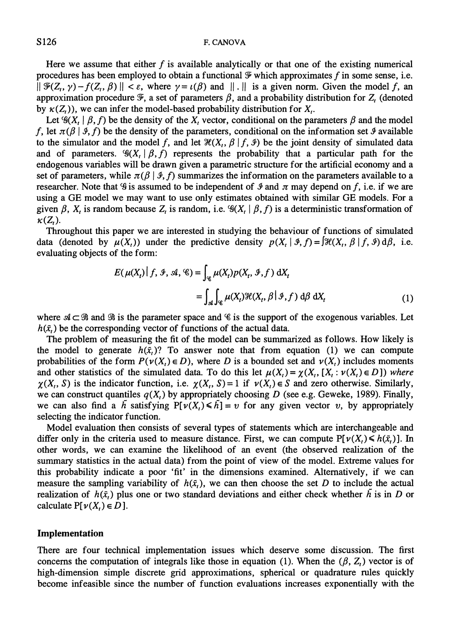#### **F. CANOVA**

**Here we assume that either f is available analytically or that one of the existing numerical**  procedures has been employed to obtain a functional  $\mathcal{F}$  which approximates f in some sense, i.e.  $\|\mathcal{F}(Z_t, \gamma) - f(Z_t, \beta)\| < \varepsilon$ , where  $\gamma = \iota(\beta)$  and  $\|\cdot\|$  is a given norm. Given the model f, an approximation procedure  $\mathcal{F}$ , a set of parameters  $\beta$ , and a probability distribution for Z, (denoted by  $\kappa(Z_i)$ , we can infer the model-based probability distribution for  $X_i$ .

Let  $\mathscr{G}(X, \mathscr{b}, f)$  be the density of the X, vector, conditional on the parameters  $\beta$  and the model f, let  $\pi(\beta \mid \vartheta, f)$  be the density of the parameters, conditional on the information set  $\vartheta$  available to the simulator and the model f, and let  $\mathcal{H}(X_t, \beta | f, \mathcal{I})$  be the joint density of simulated data and of parameters.  $\mathcal{G}(X_t | \beta, f)$  represents the probability that a particular path for the **endogenous variables will be drawn given a parametric structure for the artificial economy and a**  set of parameters, while  $\pi(\beta \mid \vartheta, f)$  summarizes the information on the parameters available to a researcher. Note that  $\mathcal G$  is assumed to be independent of  $\mathcal F$  and  $\pi$  may depend on f, i.e. if we are **using a GE model we may want to use only estimates obtained with similar GE models. For a**  given  $\beta$ , X, is random because Z, is random, i.e.  $\mathcal{G}(X, \beta, f)$  is a deterministic transformation of  $\kappa(Z)$ .

**Throughout this paper we are interested in studying the behaviour of functions of simulated**  data (denoted by  $\mu(X_t)$ ) under the predictive density  $p(X_t | \mathcal{F}, f) = \int \mathcal{H}(X_t, \beta | f, \mathcal{F}) d\beta$ , i.e. **evaluating objects of the form:** 

$$
E(\mu(X_t) | f, \mathcal{I}, \mathcal{A}, \mathcal{C}) = \int_{\mathcal{C}} \mu(X_t) p(X_t, \mathcal{I}, f) dX_t
$$
  
= 
$$
\int_{\mathcal{A}} \int_{\mathcal{C}} \mu(X_t) \mathcal{H}(X_t, \beta | \mathcal{I}, f) d\beta dX_t
$$
 (1)

where  $A \subset B$  and  $B$  is the parameter space and  $C$  is the support of the exogenous variables. Let  $h(\bar{x})$  be the corresponding vector of functions of the actual data.

**The problem of measuring the fit of the model can be summarized as follows. How likely is**  the model to generate  $h(\bar{x})$ ? To answer note that from equation (1) we can compute probabilities of the form  $P(\nu(X_i) \in D)$ , where D is a bounded set and  $\nu(X_i)$  includes moments and other statistics of the simulated data. To do this let  $\mu(X_i) = \chi(X_i, [X_i : \nu(X_i) \in D])$  where  $\chi(X_t, S)$  is the indicator function, i.e.  $\chi(X_t, S) = 1$  if  $\nu(X_t) \in S$  and zero otherwise. Similarly, we can construct quantiles  $q(X_t)$  by appropriately choosing D (see e.g. Geweke, 1989). Finally, we can also find a h satisfying  $P[\nu(X) \le h] = \nu$  for any given vector v, by appropriately **selecting the indicator function.** 

**Model evaluation then consists of several types of statements which are interchangeable and**  differ only in the criteria used to measure distance. First, we can compute  $P[\nu(X_i) \leq h(\bar{x}_i)]$ . In **other words, we can examine the likelihood of an event (the observed realization of the summary statistics in the actual data) from the point of view of the model. Extreme values for this probability indicate a poor 'fit' in the dimensions examined. Alternatively, if we can**  measure the sampling variability of  $h(\bar{x})$ , we can then choose the set D to include the actual **realization of**  $h(\bar{x})$  **plus one or two standard deviations and either check whether**  $\tilde{h}$  **is in D or** calculate  $P[\nu(X_i) \in D]$ .

## **Implementation**

**There are four technical implementation issues which deserve some discussion. The first**  concerns the computation of integrals like those in equation (1). When the  $(\beta, Z)$  vector is of **high-dimension simple discrete grid approximations, spherical or quadrature rules quickly become infeasible since the number of function evaluations increases exponentially with the**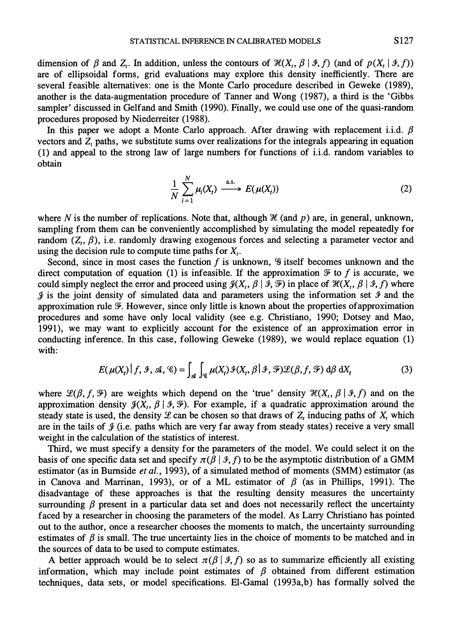dimension of  $\beta$  and Z<sub>i</sub>. In addition, unless the contours of  $\mathcal{H}(X_i, \beta | \mathcal{I}, f)$  (and of  $p(X_i | \mathcal{I}, f)$ ) **are of ellipsoidal forms, grid evaluations may explore this density inefficiently. There are several feasible alternatives: one is the Monte Carlo procedure described in Geweke (1989), another is the data-augmentation procedure of Tanner and Wong (1987), a third is the 'Gibbs sampler' discussed in Gelfand and Smith (1990). Finally, we could use one of the quasi-random procedures proposed by Niederreiter (1988).** 

In this paper we adopt a Monte Carlo approach. After drawing with replacement i.i.d.  $\beta$ **vectors and Z, paths, we substitute sums over realizations for the integrals appearing in equation (1) and appeal to the strong law of large numbers for functions of i.i.d. random variables to obtain** 

$$
\frac{1}{N} \sum_{i=1}^{N} \mu_i(X_t) \xrightarrow{\text{a.s.}} E(\mu(X_t))
$$
\n(2)

where N is the number of replications. Note that, although  $\mathcal H$  (and  $p$ ) are, in general, unknown, **sampling from them can be conveniently accomplished by simulating the model repeatedly for**  random  $(Z_t, \beta)$ , i.e. randomly drawing exogenous forces and selecting a parameter vector and using the decision rule to compute time paths for  $X_t$ .

**Second, since in most cases the function f is unknown, 8 itself becomes unknown and the**  direct computation of equation (1) is infeasible. If the approximation  $\mathcal F$  to f is accurate, we could simply neglect the error and proceed using  $\mathcal{J}(X_i, \beta | \mathcal{F}, \mathcal{F})$  in place of  $\mathcal{H}(X_i, \beta | \mathcal{F}, f)$  where  $\oint$  is the joint density of simulated data and parameters using the information set  $\oint$  and the approximation rule  $\mathcal F$ . However, since only little is known about the properties of approximation **procedures and some have only local validity (see e.g. Christiano, 1990; Dotsey and Mao, 1991), we may want to explicitly account for the existence of an approximation error in conducting inference. In this case, following Geweke (1989), we would replace equation (1) with:** 

$$
E(\mu(X_t) | f, \mathcal{F}, \mathcal{A}, \mathcal{C}) = \int_{\mathcal{A}} \int_{\mathcal{C}} \mu(X_t) \mathcal{F}(X_t, \beta | \mathcal{F}, \mathcal{F}) \mathcal{L}(\beta, f, \mathcal{F}) \, d\beta \, dX_t \tag{3}
$$

where  $\mathcal{L}(\beta, f, \mathcal{F})$  are weights which depend on the 'true' density  $\mathcal{R}(X_i, \beta | \mathcal{F}, f)$  and on the approximation density  $\mathcal{J}(X_i, \beta | \mathcal{I}, \mathcal{F})$ . For example, if a quadratic approximation around the steady state is used, the density  $\mathcal L$  can be chosen so that draws of  $Z_t$  inducing paths of  $X_t$  which are in the tails of  $\oint$  (i.e. paths which are very far away from steady states) receive a very small **weight in the calculation of the statistics of interest.** 

**Third, we must specify a density for the parameters of the model. We could select it on the**  basis of one specific data set and specify  $\pi(\beta \mid \mathcal{F}, f)$  to be the asymptotic distribution of a GMM **estimator (as in Bumside et al., 1993), of a simulated method of moments (SMM) estimator (as**  in Canova and Marrinan, 1993), or of a ML estimator of  $\beta$  (as in Phillips, 1991). The **disadvantage of these approaches is that the resulting density measures the uncertainty**  surrounding  $\beta$  present in a particular data set and does not necessarily reflect the uncertainty **faced by a researcher in choosing the parameters of the model. As Larry Christiano has pointed out to the author, once a researcher chooses the moments to match, the uncertainty surrounding**  estimates of  $\beta$  is small. The true uncertainty lies in the choice of moments to be matched and in **the sources of data to be used to compute estimates.** 

A better approach would be to select  $\pi(\beta \mid \mathcal{F}, f)$  so as to summarize efficiently all existing information, which may include point estimates of  $\beta$  obtained from different estimation **techniques, data sets, or model specifications. El-Gamal (1993a,b) has formally solved the**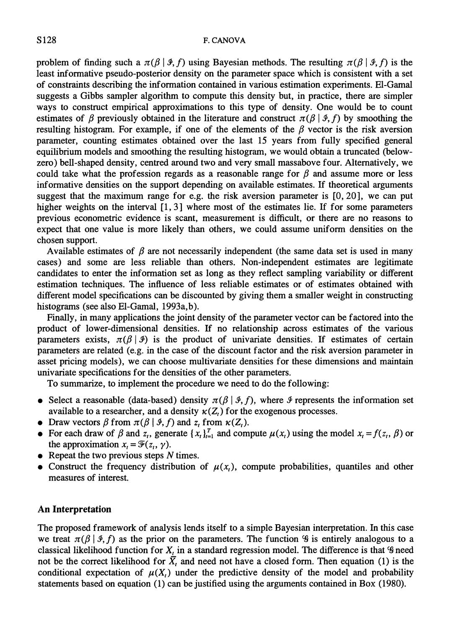problem of finding such a  $\pi(\beta | \mathcal{F}, f)$  using Bayesian methods. The resulting  $\pi(\beta | \mathcal{F}, f)$  is the **least informative pseudo-posterior density on the parameter space which is consistent with a set of constraints describing the information contained in various estimation experiments. El-Gamal suggests a Gibbs sampler algorithm to compute this density but, in practice, there are simpler ways to construct empirical approximations to this type of density. One would be to count**  estimates of  $\beta$  previously obtained in the literature and construct  $\pi(\beta | \mathcal{I}, f)$  by smoothing the resulting histogram. For example, if one of the elements of the  $\beta$  vector is the risk aversion **parameter, counting estimates obtained over the last 15 years from fully specified general equilibrium models and smoothing the resulting histogram, we would obtain a truncated (belowzero) bell-shaped density, centred around two and very small massabove four. Alternatively, we**  could take what the profession regards as a reasonable range for  $\beta$  and assume more or less **informative densities on the support depending on available estimates. If theoretical arguments suggest that the maximum range for e.g. the risk aversion parameter is [0, 20], we can put higher weights on the interval [1, 3] where most of the estimates lie. If for some parameters previous econometric evidence is scant, measurement is difficult, or there are no reasons to expect that one value is more likely than others, we could assume uniform densities on the chosen support.** 

Available estimates of  $\beta$  are not necessarily independent (the same data set is used in many **cases) and some are less reliable than others. Non-independent estimates are legitimate candidates to enter the information set as long as they reflect sampling variability or different estimation techniques. The influence of less reliable estimates or of estimates obtained with different model specifications can be discounted by giving them a smaller weight in constructing histograms (see also El-Gamal, 1993a,b).** 

**Finally, in many applications the joint density of the parameter vector can be factored into the product of lower-dimensional densities. If no relationship across estimates of the various parameters exists,**  $\pi(\beta | \mathcal{F})$  **is the product of univariate densities. If estimates of certain parameters are related (e.g. in the case of the discount factor and the risk aversion parameter in asset pricing models), we can choose multivariate densities for these dimensions and maintain univariate specifications for the densities of the other parameters.** 

**To summarize, to implement the procedure we need to do the following:** 

- Select a reasonable (data-based) density  $\pi(\beta | \mathcal{I}, f)$ , where  $\mathcal{I}$  represents the information set available to a researcher, and a density  $\kappa(Z_t)$  for the exogenous processes.
- Draw vectors  $\beta$  from  $\pi(\beta | \mathcal{F}, f)$  and z, from  $\kappa(Z_i)$ .
- For each draw of  $\beta$  and  $z_i$ , generate  $\{x_i\}_{i=1}^T$  and compute  $\mu(x_i)$  using the model  $x_i = f(z_i, \beta)$  or the approximation  $x_i = \mathcal{F}(z_i, \gamma)$ .
- Repeat the two previous steps N times.
- Construct the frequency distribution of  $\mu(x)$ , compute probabilities, quantiles and other **measures of interest.**

# **An Interpretation**

**The proposed framework of analysis lends itself to a simple Bayesian interpretation. In this case**  we treat  $\pi(\beta \mid \vartheta, f)$  as the prior on the parameters. The function  $\vartheta$  is entirely analogous to a classical likelihood function for  $X_t$  in a standard regression model. The difference is that  $\mathcal G$  need not be the correct likelihood for  $\overline{X}_t$ , and need not have a closed form. Then equation (1) is the conditional expectation of  $\mu(X)$  under the predictive density of the model and probability **statements based on equation (1) can be justified using the arguments contained in Box (1980).**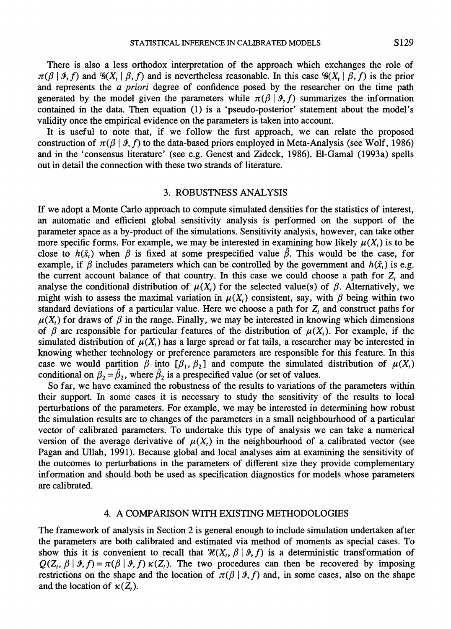**There is also a less orthodox interpretation of the approach which exchanges the role of**   $\pi(\beta \mid \emptyset, f)$  and  $\mathscr{G}(X, \mid \beta, f)$  and is nevertheless reasonable. In this case  $\mathscr{G}(X, \mid \beta, f)$  is the prior **and represents the a priori degree of confidence posed by the researcher on the time path**  generated by the model given the parameters while  $\pi(\beta | \mathcal{G}, f)$  summarizes the information **contained in the data. Then equation (1) is a 'pseudo-posterior' statement about the model's validity once the empirical evidence on the parameters is taken into account.** 

**It is useful to note that, if we follow the first approach, we can relate the proposed**  construction of  $\pi(\beta \mid \vartheta, f)$  to the data-based priors employed in Meta-Analysis (see Wolf, 1986) **and in the 'consensus literature' (see e.g. Genest and Zideck, 1986). El-Gamal (1993a) spells out in detail the connection with these two strands of literature.** 

## **3. ROBUSTNESS ANALYSIS**

**If we adopt a Monte Carlo approach to compute simulated densities for the statistics of interest, an automatic and efficient global sensitivity analysis is performed on the support of the parameter space as a by-product of the simulations. Sensitivity analysis, however, can take other**  more specific forms. For example, we may be interested in examining how likely  $\mu(X_i)$  is to be close to  $h(\bar{x})$  when  $\beta$  is fixed at some prespecified value  $\hat{\beta}$ . This would be the case, for example, if  $\beta$  includes parameters which can be controlled by the government and  $h(\bar{x}_i)$  is e.g. **the current account balance of that country. In this case we could choose a path for Z, and**  analyse the conditional distribution of  $\mu(X_t)$  for the selected value(s) of  $\beta$ . Alternatively, we might wish to assess the maximal variation in  $\mu(X_t)$  consistent, say, with  $\beta$  being within two **standard deviations of a particular value. Here we choose a path for Z, and construct paths for**   $\mu(X)$  for draws of  $\beta$  in the range. Finally, we may be interested in knowing which dimensions of  $\beta$  are responsible for particular features of the distribution of  $\mu(X_i)$ . For example, if the simulated distribution of  $\mu(X_i)$  has a large spread or fat tails, a researcher may be interested in **knowing whether technology or preference parameters are responsible for this feature. In this**  case we would partition  $\beta$  into  $[\beta_1, \beta_2]$  and compute the simulated distribution of  $\mu(X_i)$ conditional on  $\beta_2 = \hat{\beta}_2$ , where  $\hat{\beta}_2$  is a prespecified value (or set of values.

**So far, we have examined the robustness of the results to variations of the parameters within their support. In some cases it is necessary to study the sensitivity of the results to local perturbations of the parameters. For example, we may be interested in determining how robust the simulation results are to changes of the parameters in a small neighbourhood of a particular vector of calibrated parameters. To undertake this type of analysis we can take a numerical**  version of the average derivative of  $\mu(X_i)$  in the neighbourhood of a calibrated vector (see **Pagan and Ullah, 1991). Because global and local analyses aim at examining the sensitivity of the outcomes to perturbations in the parameters of different size they provide complementary information and should both be used as specification diagnostics for models whose parameters are calibrated.** 

## **4. A COMPARISON WITH EXISTING METHODOLOGIES**

**The framework of analysis in Section 2 is general enough to include simulation undertaken after the parameters are both calibrated and estimated via method of moments as special cases. To**  show this it is convenient to recall that  $\mathcal{H}(X_t, \beta \mid \mathcal{I}, f)$  is a deterministic transformation of  $Q(Z_t, \beta | \mathcal{F}, f) = \pi(\beta | \mathcal{F}, f) \kappa(Z_t)$ . The two procedures can then be recovered by imposing restrictions on the shape and the location of  $\pi(\beta | \mathcal{I}, f)$  and, in some cases, also on the shape and the location of  $\kappa(Z)$ .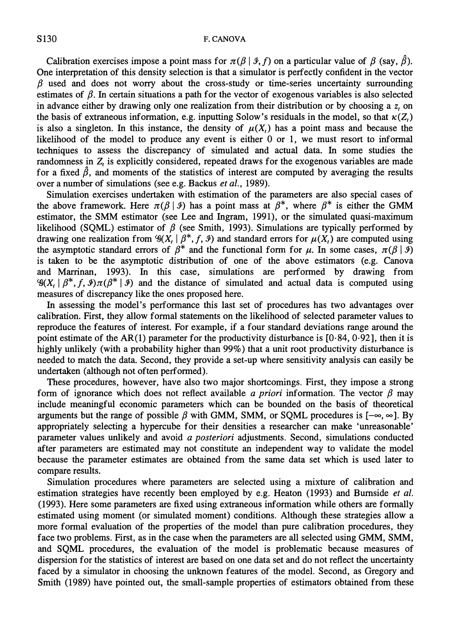Calibration exercises impose a point mass for  $\pi(\beta | \mathcal{F}, f)$  on a particular value of  $\beta$  (say,  $\hat{\beta}$ ). **One interpretation of this density selection is that a simulator is perfectly confident in the vector**   $\beta$  used and does not worry about the cross-study or time-series uncertainty surrounding estimates of  $\beta$ . In certain situations a path for the vector of exogenous variables is also selected **in advance either by drawing only one realization from their distribution or by choosing a z, on**  the basis of extraneous information, e.g. inputting Solow's residuals in the model, so that  $\kappa(Z)$ is also a singleton. In this instance, the density of  $\mu(X)$  has a point mass and because the **likelihood of the model to produce any event is either 0 or 1, we must resort to informal techniques to assess the discrepancy of simulated and actual data. In some studies the randomness in Z, is explicitly considered, repeated draws for the exogenous variables are made**  for a fixed  $\hat{\beta}$ , and moments of the statistics of interest are computed by averaging the results **over a number of simulations (see e.g. Backus et al., 1989).** 

**Simulation exercises undertaken with estimation of the parameters are also special cases of**  the above framework. Here  $\pi(\beta | \mathcal{I})$  has a point mass at  $\beta^*$ , where  $\beta^*$  is either the GMM **estimator, the SMM estimator (see Lee and Ingram, 1991), or the simulated quasi-maximum**  likelihood (SQML) estimator of  $\beta$  (see Smith, 1993). Simulations are typically performed by drawing one realization from  $\mathcal{L}(X_t | \beta^*, f, \vartheta)$  and standard errors for  $\mu(X_t)$  are computed using the asymptotic standard errors of  $\beta^*$  and the functional form for  $\mu$ . In some cases,  $\pi(\beta | \vartheta)$ **is taken to be the asymptotic distribution of one of the above estimators (e.g. Canova and Marrinan, 1993). In this case, simulations are performed by drawing from**   $\mathcal{L}(X, \mathcal{A}, \mathcal{B}^*, f, \mathcal{I})$  *I*  $(\mathcal{B}^*, f, \mathcal{I})$  and the distance of simulated and actual data is computed using **measures of discrepancy like the ones proposed here.** 

**In assessing the model's performance this last set of procedures has two advantages over calibration. First, they allow formal statements on the likelihood of selected parameter values to reproduce the features of interest. For example, if a four standard deviations range around the**  point estimate of the AR(1) parameter for the productivity disturbance is [0.84, 0.92], then it is **highly unlikely (with a probability higher than 99%) that a unit root productivity disturbance is needed to match the data. Second, they provide a set-up where sensitivity analysis can easily be undertaken (although not often performed).** 

**These procedures, however, have also two major shortcomings. First, they impose a strong**  form of ignorance which does not reflect available *a priori* information. The vector  $\beta$  may **include meaningful economic parameters which can be bounded on the basis of theoretical**  arguments but the range of possible  $\beta$  with GMM, SMM, or SQML procedures is  $[-\infty, \infty]$ . By **appropriately selecting a hypercube for their densities a researcher can make 'unreasonable' parameter values unlikely and avoid a posteriori adjustments. Second, simulations conducted after parameters are estimated may not constitute an independent way to validate the model because the parameter estimates are obtained from the same data set which is used later to compare results.** 

**Simulation procedures where parameters are selected using a mixture of calibration and estimation strategies have recently been employed by e.g. Heaton (1993) and Burnside et al. (1993). Here some parameters are fixed using extraneous information while others are formally estimated using moment (or simulated moment) conditions. Although these strategies allow a more formal evaluation of the properties of the model than pure calibration procedures, they face two problems. First, as in the case when the parameters are all selected using GMM, SMM, and SQML procedures, the evaluation of the model is problematic because measures of dispersion for the statistics of interest are based on one data set and do not reflect the uncertainty faced by a simulator in choosing the unknown features of the model. Second, as Gregory and Smith (1989) have pointed out, the small-sample properties of estimators obtained from these**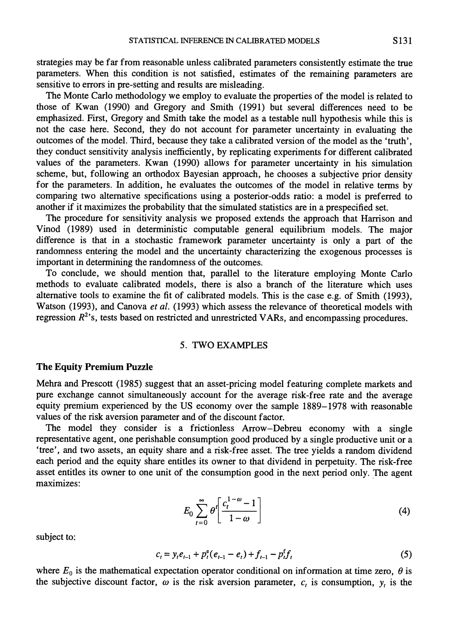**strategies may be far from reasonable unless calibrated parameters consistently estimate the true parameters. When this condition is not satisfied, estimates of the remaining parameters are sensitive to errors in pre-setting and results are misleading.** 

**The Monte Carlo methodology we employ to evaluate the properties of the model is related to those of Kwan (1990) and Gregory and Smith (1991) but several differences need to be emphasized. First, Gregory and Smith take the model as a testable null hypothesis while this is not the case here. Second, they do not account for parameter uncertainty in evaluating the outcomes of the model. Third, because they take a calibrated version of the model as the 'truth', they conduct sensitivity analysis inefficiently, by replicating experiments for different calibrated values of the parameters. Kwan (1990) allows for parameter uncertainty in his simulation scheme, but, following an orthodox Bayesian approach, he chooses a subjective prior density for the parameters. In addition, he evaluates the outcomes of the model in relative terms by comparing two alternative specifications using a posterior-odds ratio: a model is preferred to another if it maximizes the probability that the simulated statistics are in a prespecified set.** 

**The procedure for sensitivity analysis we proposed extends the approach that Harrison and Vinod (1989) used in deterministic computable general equilibrium models. The major difference is that in a stochastic framework parameter uncertainty is only a part of the randomness entering the model and the uncertainty characterizing the exogenous processes is important in determining the randomness of the outcomes.** 

**To conclude, we should mention that, parallel to the literature employing Monte Carlo methods to evaluate calibrated models, there is also a branch of the literature which uses alternative tools to examine the fit of calibrated models. This is the case e.g. of Smith (1993), Watson (1993), and Canova et al. (1993) which assess the relevance of theoretical models with regression R2's, tests based on restricted and unrestricted VARs, and encompassing procedures.** 

# **5. TWO EXAMPLES**

# **The Equity Premium Puzzle**

**Mehra and Prescott (1985) suggest that an asset-pricing model featuring complete markets and pure exchange cannot simultaneously account for the average risk-free rate and the average equity premium experienced by the US economy over the sample 1889-1978 with reasonable values of the risk aversion parameter and of the discount factor.** 

**The model they consider is a frictionless Arrow-Debreu economy with a single representative agent, one perishable consumption good produced by a single productive unit or a 'tree', and two assets, an equity share and a risk-free asset. The tree yields a random dividend each period and the equity share entitles its owner to that dividend in perpetuity. The risk-free asset entitles its owner to one unit of the consumption good in the next period only. The agent maximizes:** 

$$
E_0 \sum_{t=0}^{\infty} \theta^t \left[ \frac{c_t^{1-\omega} - 1}{1-\omega} \right] \tag{4}
$$

**subject to:** 

$$
c_t = y_t e_{t-1} + p_t^e (e_{t-1} - e_t) + f_{t-1} - p_t^f f_t
$$
\n<sup>(5)</sup>

where  $E_0$  is the mathematical expectation operator conditional on information at time zero,  $\theta$  is the subjective discount factor,  $\omega$  is the risk aversion parameter,  $c<sub>i</sub>$  is consumption, y, is the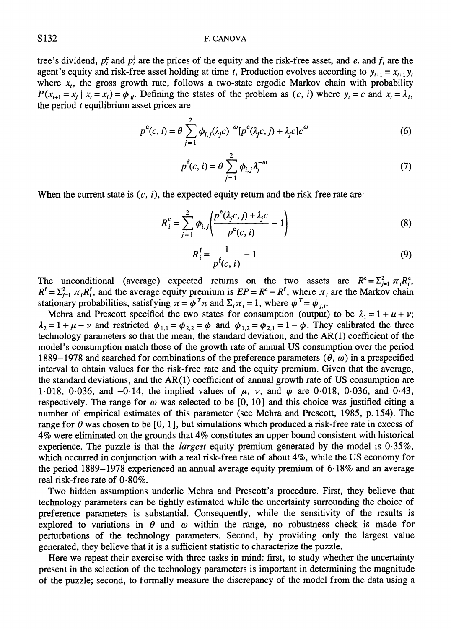tree's dividend,  $p_t^e$  and  $p_t^f$  are the prices of the equity and the risk-free asset, and  $e_t$  and  $f_t$  are the agent's equity and risk-free asset holding at time t, Production evolves according to  $y_{t+1} = x_{t+1}y_t$ where x<sub>t</sub>, the gross growth rate, follows a two-state ergodic Markov chain with probability  $P(x_{t+1} = x_i | x_t = x_i) = \phi_{ii}$ . Defining the states of the problem as  $(c, i)$  where  $y_t = c$  and  $x_t = \lambda_i$ , **the period t equilibrium asset prices are** 

$$
p^{\mathbf{e}}(c,i) = \theta \sum_{j=1}^{2} \phi_{i,j}(\lambda_j c)^{-\omega} [p^{\mathbf{e}}(\lambda_j c, j) + \lambda_j c] c^{\omega}
$$
 (6)

$$
p^{f}(c, i) = \theta \sum_{j=1}^{2} \phi_{i,j} \lambda_j^{-\omega}
$$
 (7)

When the current state is  $(c, i)$ , the expected equity return and the risk-free rate are:

$$
R_i^e = \sum_{j=1}^2 \phi_{i,j} \left( \frac{p^e(\lambda_j c, j) + \lambda_j c}{p^e(c, i)} - 1 \right)
$$
 (8)

$$
R_i^f = \frac{1}{p^f(c, i)} - 1
$$
 (9)

The unconditional (average) expected returns on the two assets are  $R^e = \sum_{j=1}^2 \pi_j R_i^e$ ,  $R^f = \sum_{j=1}^2 \pi_j R_j^f$ , and the average equity premium is  $EP = R^e - R^f$ , where  $\pi_i$  are the Markov chain stationary probabilities, satisfying  $\pi = \phi^T \pi$  and  $\Sigma_i \pi_i = 1$ , where  $\phi^T = \phi_i$ .

Mehra and Prescott specified the two states for consumption (output) to be  $\lambda_1 = 1 + \mu + \nu$ ;  $\lambda_2 = 1 + \mu - \nu$  and restricted  $\phi_{1,1} = \phi_{2,2} = \phi$  and  $\phi_{1,2} = \phi_{2,1} = 1 - \phi$ . They calibrated the three **technology parameters so that the mean, the standard deviation, and the AR(1) coefficient of the model's consumption match those of the growth rate of annual US consumption over the period**  1889–1978 and searched for combinations of the preference parameters  $(\theta, \omega)$  in a prespecified **interval to obtain values for the risk-free rate and the equity premium. Given that the average, the standard deviations, and the AR(1) coefficient of annual growth rate of US consumption are**  1.018, 0.036, and  $-0.14$ , the implied values of  $\mu$ ,  $\nu$ , and  $\phi$  are 0.018, 0.036, and 0.43, respectively. The range for  $\omega$  was selected to be [0, 10] and this choice was justified citing a **number of empirical estimates of this parameter (see Mehra and Prescott, 1985, p. 154). The range for**  $\theta$  **was chosen to be [0, 1], but simulations which produced a risk-free rate in excess of 4% were eliminated on the grounds that 4% constitutes an upper bound consistent with historical**  experience. The puzzle is that the *largest* equity premium generated by the model is 0.35%, **which occurred in conjunction with a real risk-free rate of about 4%, while the US economy for the period 1889-1978 experienced an annual average equity premium of 6 18% and an average real risk-free rate of 0 80%.** 

**Two hidden assumptions underlie Mehra and Prescott's procedure. First, they believe that technology parameters can be tightly estimated while the uncertainty surrounding the choice of preference parameters is substantial. Consequently, while the sensitivity of the results is**  explored to variations in  $\theta$  and  $\omega$  within the range, no robustness check is made for **perturbations of the technology parameters. Second, by providing only the largest value generated, they believe that it is a sufficient statistic to characterize the puzzle.** 

**Here we repeat their exercise with three tasks in mind: first, to study whether the uncertainty present in the selection of the technology parameters is important in determining the magnitude of the puzzle; second, to formally measure the discrepancy of the model from the data using a**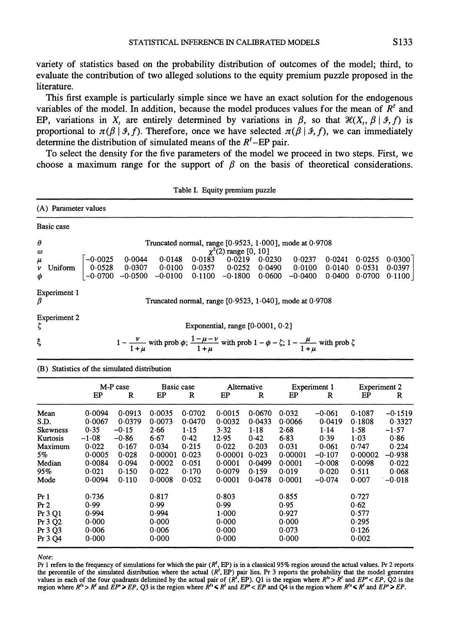**variety of statistics based on the probability distribution of outcomes of the model; third, to evaluate the contribution of two alleged solutions to the equity premium puzzle proposed in the literature.** 

**This first example is particularly simple since we have an exact solution for the endogenous**  variables of the model. In addition, because the model produces values for the mean of  $R<sup>f</sup>$  and EP, variations in X, are entirely determined by variations in  $\beta$ , so that  $\mathcal{H}(X_i, \beta | \mathcal{F}, f)$  is proportional to  $\pi(\beta | \mathcal{F}, f)$ . Therefore, once we have selected  $\pi(\beta | \mathcal{F}, f)$ , we can immediately **determine the distribution of simulated means of the Rf-EP pair.** 

**To select the density for the five parameters of the model we proceed in two steps. First, we**  choose a maximum range for the support of  $\beta$  on the basis of theoretical considerations.

|                    | (A) Parameter values |                                                              |                                                                                                                                         |                                                              |  |                                    |        |                                        |  |        |        |
|--------------------|----------------------|--------------------------------------------------------------|-----------------------------------------------------------------------------------------------------------------------------------------|--------------------------------------------------------------|--|------------------------------------|--------|----------------------------------------|--|--------|--------|
|                    | Basic case           |                                                              |                                                                                                                                         |                                                              |  |                                    |        |                                        |  |        |        |
| $\theta$           |                      | Truncated normal, range $[0.9523, 1.000]$ , mode at $0.9708$ |                                                                                                                                         |                                                              |  |                                    |        |                                        |  |        |        |
| $\omega$           |                      |                                                              | $\chi^2(2)$ range [0, 10]                                                                                                               |                                                              |  |                                    |        |                                        |  |        |        |
| $\mu$              |                      | $-0.0025$                                                    | 0.0044                                                                                                                                  | 0.0148                                                       |  |                                    |        | 0.0183  0.0219  0.0230  0.0237  0.0241 |  | 0.0255 | 0.0300 |
| $\boldsymbol{\nu}$ | Uniform              |                                                              | $0.0528$ $0.0307$ $0.0100$ $0.0357$ $0.0252$ $0.0490$ $0.0100$ $0.0140$                                                                 |                                                              |  |                                    |        |                                        |  | 0.0531 | 0.0397 |
| φ                  |                      |                                                              | $-0.0700$ $-0.0500$ $-0.0100$ $0.1100$ $-0.1800$                                                                                        |                                                              |  |                                    | 0.0600 | $-0.0400$ $0.0400$ $0.0700$            |  |        | 0.1100 |
| β                  | <b>Experiment 1</b>  |                                                              |                                                                                                                                         | Truncated normal, range $[0.9523, 1.040]$ , mode at $0.9708$ |  |                                    |        |                                        |  |        |        |
| ζ                  | <b>Experiment 2</b>  |                                                              |                                                                                                                                         |                                                              |  | Exponential, range $[0.0001, 0.2]$ |        |                                        |  |        |        |
| ξ                  |                      |                                                              | $1 - \frac{\nu}{1+\mu}$ with prob $\phi$ ; $\frac{1-\mu-\nu}{1+\mu}$ with prob $1-\phi-\zeta$ ; $1-\frac{\mu}{1+\mu}$ with prob $\zeta$ |                                                              |  |                                    |        |                                        |  |        |        |

**Table I. Equity premium puzzle** 

|                     | EP      | M-P case<br>R | Basic case<br>EP | R      | Alternative<br>EP | R      | EP      | <b>Experiment 1</b><br>R | <b>Experiment 2</b><br>EP | R         |
|---------------------|---------|---------------|------------------|--------|-------------------|--------|---------|--------------------------|---------------------------|-----------|
| Mean                | 0.0094  | 0.0913        | 0.0035           | 0.0702 | 0.0015            | 0.0670 | 0.032   | $-0.061$                 | 0.1087                    | $-0.1519$ |
| S.D.                | 0.0067  | 0.0379        | 0.0073           | 0.0470 | 0.0032            | 0.0433 | 0.0066  | 0.0419                   | 0.1808                    | 0.3327    |
| <b>Skewness</b>     | 0.35    | $-0.15$       | 2.66             | 1.15   | 3.32              | 1.18   | 2.68    | 1.14                     | 1.58                      | $-1.57$   |
| Kurtosis            | $-1.08$ | $-0.86$       | 6.67             | 0.42   | 12.95             | 0.42   | 6.83    | 0.39                     | 1.03                      | 0.86      |
| Maximum             | 0.022   | 0.167         | 0.034            | 0.215  | 0.022             | 0.203  | 0.031   | 0.061                    | 0.747                     | 0.224     |
| 5%                  | 0.0005  | 0.028         | 0.00001          | 0.023  | 0.00001           | 0.023  | 0.00001 | $-0.107$                 | 0.00002                   | $-0.938$  |
| Median              | 0.0084  | 0.094         | 0.0002           | 0.051  | 0.0001            | 0.0499 | 0.0001  | $-0.008$                 | 0.0098                    | 0.022     |
| 95%                 | 0.021   | 0.150         | 0.022            | 0.170  | 0.0079            | 0.159  | 0.019   | 0.020                    | 0.511                     | 0.068     |
| Mode                | 0.0094  | 0.110         | 0.0008           | 0.052  | 0.0001            | 0.0478 | 0.0001  | $-0.074$                 | 0.007                     | $-0.018$  |
| $Pr_1$              | 0.736   |               | 0.817            |        | 0.803             |        | 0.855   |                          | 0.727                     |           |
| Pr <sub>2</sub>     | 0.99    |               | 0.99             |        | 0.99              |        | 0.95    |                          | 0.62                      |           |
| Pr 3 O1             | 0.994   |               | 0.994            |        | 1.000             |        | 0.927   |                          | 0.577                     |           |
| Pr 3 Q2             | 0.000   |               | 0.000            |        | 0.000             |        | 0.000   |                          | 0.295                     |           |
| Pr 3 O3             | 0.006   |               | 0.006            |        | 0.000             |        | 0.073   |                          | 0.126                     |           |
| Pr 3 O <sub>4</sub> | 0.000   |               | 0.000            |        | 0.000             |        | 0.000   |                          | 0.002                     |           |

**(B) Statistics of the simulated distribution** 

**Note:** 

**Pr 1 refers to the frequency of simulations for which the pair (Rf, EP) is in a classical 95% region around the actual values. Pr 2 reports**  the percentile of the simulated distribution where the actual  $(R^f, EP)$  pair lies. Pr 3 reports the probability that the model generates values in each of the four quadrants delimited by the actual pair of  $(R^f, EP)$ . Q1 is the region where  $R^{f} > R^f$  and  $EP^* < EP$ , Q2 is the region where  $R^{f} > R^f$  and  $EP^* > EP$ , Q2 is the region where  $R^{f} > R^f$  and  $EP^* > EP$ , Q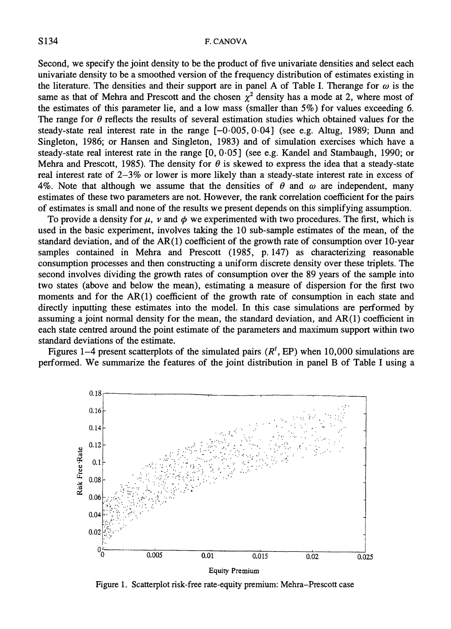#### **F. CANOVA**

**Second, we specify the joint density to be the product of five univariate densities and select each univariate density to be a smoothed version of the frequency distribution of estimates existing in**  the literature. The densities and their support are in panel A of Table I. Therange for  $\omega$  is the same as that of Mehra and Prescott and the chosen  $\chi^2$  density has a mode at 2, where most of **the estimates of this parameter lie, and a low mass (smaller than 5%) for values exceeding 6.**  The range for  $\theta$  reflects the results of several estimation studies which obtained values for the **steady-state real interest rate in the range [-0.005, 0.04] (see e.g. Altug, 1989; Dunn and Singleton, 1986; or Hansen and Singleton, 1983) and of simulation exercises which have a steady-state real interest rate in the range [0, 0.05] (see e.g. Kandel and Stambaugh, 1990; or**  Mehra and Prescott, 1985). The density for  $\theta$  is skewed to express the idea that a steady-state **real interest rate of 2-3% or lower is more likely than a steady-state interest rate in excess of**  4%. Note that although we assume that the densities of  $\theta$  and  $\omega$  are independent, many **estimates of these two parameters are not. However, the rank correlation coefficient for the pairs of estimates is small and none of the results we present depends on this simplifying assumption.** 

To provide a density for  $\mu$ ,  $\nu$  and  $\phi$  we experimented with two procedures. The first, which is used in the basic experiment, involves taking the 10 sub-sample estimates of the mean, of the **standard deviation, and of the AR(1) coefficient of the growth rate of consumption over 10-year samples contained in Mehra and Prescott (1985, p. 147) as characterizing reasonable consumption processes and then constructing a uniform discrete density over these triplets. The second involves dividing the growth rates of consumption over the 89 years of the sample into two states (above and below the mean), estimating a measure of dispersion for the first two moments and for the AR(1) coefficient of the growth rate of consumption in each state and directly inputting these estimates into the model. In this case simulations are performed by assuming a joint normal density for the mean, the standard deviation, and AR(1) coefficient in each state centred around the point estimate of the parameters and maximum support within two standard deviations of the estimate.** 

Figures 1–4 present scatterplots of the simulated pairs  $(R^f, EP)$  when 10,000 simulations are **performed. We summarize the features of the joint distribution in panel B of Table I using a** 



**Figure 1. Scatterplot risk-free rate-equity premium: Mehra-Prescott case**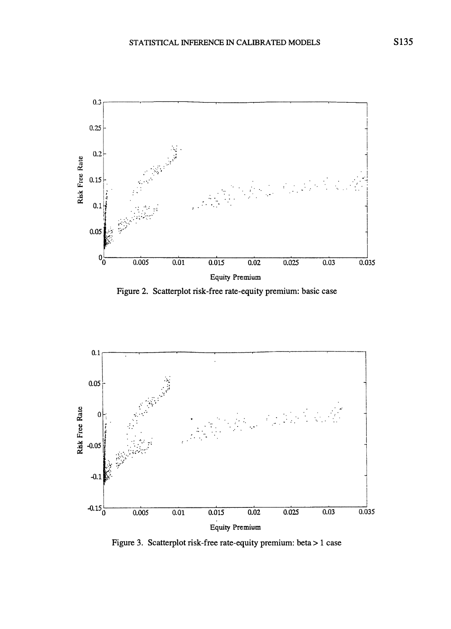

**Figure 2. Scatterplot risk-free rate-equity premium: basic case** 



**Figure 3. Scatterplot risk-free rate-equity premium: beta > 1 case**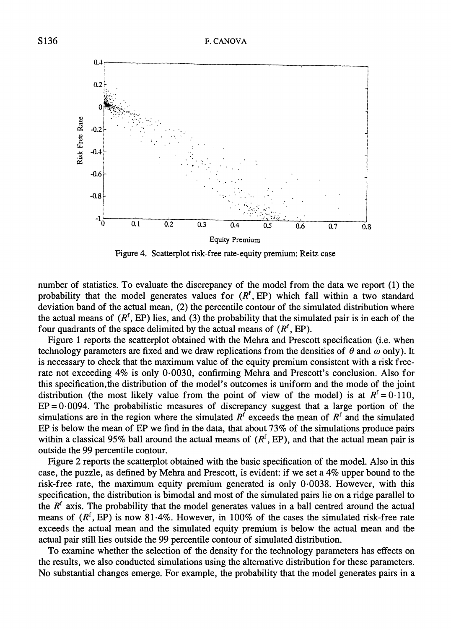

**Figure 4. Scatterplot risk-free rate-equity premium: Reitz case** 

**number of statistics. To evaluate the discrepancy of the model from the data we report (1) the**  probability that the model generates values for  $(R^f, EP)$  which fall within a two standard **deviation band of the actual mean, (2) the percentile contour of the simulated distribution where**  the actual means of  $(R^f, EP)$  lies, and (3) the probability that the simulated pair is in each of the four quadrants of the space delimited by the actual means of  $(R^f, EP)$ .

**Figure 1 reports the scatterplot obtained with the Mehra and Prescott specification (i.e. when**  technology parameters are fixed and we draw replications from the densities of  $\theta$  and  $\omega$  only). It **is necessary to check that the maximum value of the equity premium consistent with a risk freerate not exceeding 4% is only 0.0030, confirming Mehra and Prescott's conclusion. Also for this specification,the distribution of the model's outcomes is uniform and the mode of the joint**  distribution (the most likely value from the point of view of the model) is at  $R<sup>f</sup> = 0.110$ ,  $EP = 0.0094$ . The probabilistic measures of discrepancy suggest that a large portion of the simulations are in the region where the simulated  $R<sup>f</sup>$  exceeds the mean of  $R<sup>f</sup>$  and the simulated **EP is below the mean of EP we find in the data, that about 73% of the simulations produce pairs**  within a classical 95% ball around the actual means of  $(R^f, EP)$ , and that the actual mean pair is **outside the 99 percentile contour.** 

**Figure 2 reports the scatterplot obtained with the basic specification of the model. Also in this case, the puzzle, as defined by Mehra and Prescott, is evident: if we set a 4% upper bound to the risk-free rate, the maximum equity premium generated is only 0.0038. However, with this specification, the distribution is bimodal and most of the simulated pairs lie on a ridge parallel to the Rf axis. The probability that the model generates values in a ball centred around the actual means of (Rf, EP) is now 81.4%. However, in 100% of the cases the simulated risk-free rate exceeds the actual mean and the simulated equity premium is below the actual mean and the actual pair still lies outside the 99 percentile contour of simulated distribution.** 

**To examine whether the selection of the density for the technology parameters has effects on the results, we also conducted simulations using the alternative distribution for these parameters. No substantial changes emerge. For example, the probability that the model generates pairs in a**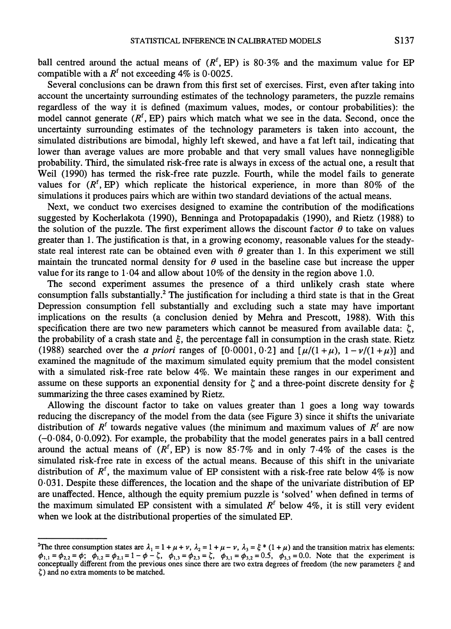ball centred around the actual means of  $(R^f, EP)$  is 80.3% and the maximum value for EP compatible with a  $R^f$  not exceeding  $4\%$  is  $0.0025$ .

**Several conclusions can be drawn from this first set of exercises. First, even after taking into account the uncertainty surrounding estimates of the technology parameters, the puzzle remains regardless of the way it is defined (maximum values, modes, or contour probabilities): the**  model cannot generate  $(R^f, EP)$  pairs which match what we see in the data. Second, once the **uncertainty surrounding estimates of the technology parameters is taken into account, the simulated distributions are bimodal, highly left skewed, and have a fat left tail, indicating that**  lower than average values are more probable and that very small values have nonnegligible **probability. Third, the simulated risk-free rate is always in excess of the actual one, a result that Weil (1990) has termed the risk-free rate puzzle. Fourth, while the model fails to generate**  values for  $(R^f, EP)$  which replicate the historical experience, in more than 80% of the **simulations it produces pairs which are within two standard deviations of the actual means.** 

**Next, we conduct two exercises designed to examine the contribution of the modifications suggested by Kocherlakota (1990), Benninga and Protopapadakis (1990), and Rietz (1988) to**  the solution of the puzzle. The first experiment allows the discount factor  $\theta$  to take on values **greater than 1. The justification is that, in a growing economy, reasonable values for the steady**state real interest rate can be obtained even with  $\theta$  greater than 1. In this experiment we still maintain the truncated normal density for  $\theta$  used in the baseline case but increase the upper **value for its range to 1.04 and allow about 10% of the density in the region above 1.0.** 

**The second experiment assumes the presence of a third unlikely crash state where consumption falls substantially.2 The justification for including a third state is that in the Great Depression consumption fell substantially and excluding such a state may have important implications on the results (a conclusion denied by Mehra and Prescott, 1988). With this**  specification there are two new parameters which cannot be measured from available data:  $\zeta$ , the probability of a crash state and  $\xi$ , the percentage fall in consumption in the crash state. Rietz (1988) searched over the *a priori* ranges of  $[0.0001, 0.2]$  and  $[\mu/(1 + \mu), 1 - \nu/(1 + \mu)]$  and **examined the magnitude of the maximum simulated equity premium that the model consistent with a simulated risk-free rate below 4%. We maintain these ranges in our experiment and**  assume on these supports an exponential density for  $\zeta$  and a three-point discrete density for  $\zeta$ **summarizing the three cases examined by Rietz.** 

**Allowing the discount factor to take on values greater than 1 goes a long way towards reducing the discrepancy of the model from the data (see Figure 3) since it shifts the univariate**  distribution of  $R<sup>f</sup>$  towards negative values (the minimum and maximum values of  $R<sup>f</sup>$  are now **(-0.084, 0.0.092). For example, the probability that the model generates pairs in a ball centred**  around the actual means of  $(R^f, EP)$  is now 85.7% and in only 7.4% of the cases is the **simulated risk-free rate in excess of the actual means. Because of this shift in the univariate distribution of Rf, the maximum value of EP consistent with a risk-free rate below 4% is now 0\*031. Despite these differences, the location and the shape of the univariate distribution of EP are unaffected. Hence, although the equity premium puzzle is 'solved' when defined in terms of**  the maximum simulated EP consistent with a simulated  $R<sup>f</sup>$  below 4%, it is still very evident **when we look at the distributional properties of the simulated EP.** 

<sup>&</sup>lt;sup>2</sup>The three consumption states are  $\lambda_1 = 1 + \mu + \nu$ ,  $\lambda_2 = 1 + \mu - \nu$ ,  $\lambda_3 = \xi * (1 + \mu)$  and the transition matrix has elements:  $\phi_{1,1} = \phi_{2,2} = \phi$ ;  $\phi_{1,2} = \phi_{2,1} = 1 - \phi - \zeta$ ,  $\phi_{1,3} = \phi_{2,3} = \zeta$ ,  $\phi_{3,1} = \phi_{3,2} = 0.5$ ,  $\phi_{3,3} = 0.0$ . Note that the experiment is conceptually different from the previous ones since there are two extra degrees **5) and no extra moments to be matched.**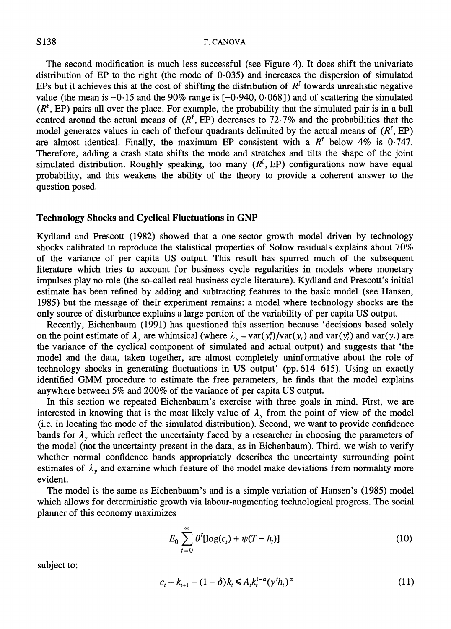#### **F. CANOVA**

**The second modification is much less successful (see Figure 4). It does shift the univariate distribution of EP to the right (the mode of 0.035) and increases the dispersion of simulated**  EPs but it achieves this at the cost of shifting the distribution of  $R<sup>f</sup>$  towards unrealistic negative **value (the mean is -0-15 and the 90% range is [-0.940, 0.068]) and of scattering the simulated (Rf, EP) pairs all over the place. For example, the probability that the simulated pair is in a ball**  centred around the actual means of  $(R^f, EP)$  decreases to 72.7% and the probabilities that the model generates values in each of the four quadrants delimited by the actual means of  $(R^f, EP)$ are almost identical. Finally, the maximum EP consistent with a  $R<sup>f</sup>$  below 4% is 0.747. **Therefore, adding a crash state shifts the mode and stretches and tilts the shape of the joint**  simulated distribution. Roughly speaking, too many  $(R^f, EP)$  configurations now have equal **probability, and this weakens the ability of the theory to provide a coherent answer to the question posed.** 

# **Technology Shocks and Cyclical Fluctuations in GNP**

**Kydland and Prescott (1982) showed that a one-sector growth model driven by technology shocks calibrated to reproduce the statistical properties of Solow residuals explains about 70% of the variance of per capita US output. This result has spurred much of the subsequent literature which tries to account for business cycle regularities in models where monetary impulses play no role (the so-called real business cycle literature). Kydland and Prescott's initial estimate has been refined by adding and subtracting features to the basic model (see Hansen, 1985) but the message of their experiment remains: a model where technology shocks are the only source of disturbance explains a large portion of the variability of per capita US output.** 

**Recently, Eichenbaum (1991) has questioned this assertion because 'decisions based solely**  on the point estimate of  $\lambda$ <sub>y</sub> are whimsical (where  $\lambda$ <sub>y</sub> = var(y<sup>s</sup><sub>i</sub>)/var(y<sub>t</sub>) and var(y<sup>s</sup><sub>i</sub>) and var(y<sub>t</sub>) are **the variance of the cyclical component of simulated and actual output) and suggests that 'the model and the data, taken together, are almost completely uninformative about the role of technology shocks in generating fluctuations in US output' (pp. 614-615). Using an exactly identified GMM procedure to estimate the free parameters, he finds that the model explains anywhere between 5% and 200% of the variance of per capita US output.** 

**In this section we repeated Eichenbaum's exercise with three goals in mind. First, we are**  interested in knowing that is the most likely value of  $\lambda_y$  from the point of view of the model **(i.e. in locating the mode of the simulated distribution). Second, we want to provide confidence**  bands for  $\lambda$ <sub>y</sub> which reflect the uncertainty faced by a researcher in choosing the parameters of **the model (not the uncertainty present in the data, as in Eichenbaum). Third, we wish to verify whether normal confidence bands appropriately describes the uncertainty surrounding point**  estimates of  $\lambda$ <sub>y</sub> and examine which feature of the model make deviations from normality more **evident.** 

**The model is the same as Eichenbaum's and is a simple variation of Hansen's (1985) model which allows for deterministic growth via labour-augmenting technological progress. The social planner of this economy maximizes** 

$$
E_0 \sum_{t=0}^{\infty} \theta^t [\log(c_t) + \psi(T - h_t)] \tag{10}
$$

**subject to:** 

$$
c_{t} + k_{t+1} - (1 - \delta)k_{t} \leq A_{t}k_{t}^{1-\alpha}(\gamma' h_{t})^{\alpha}
$$
\n(11)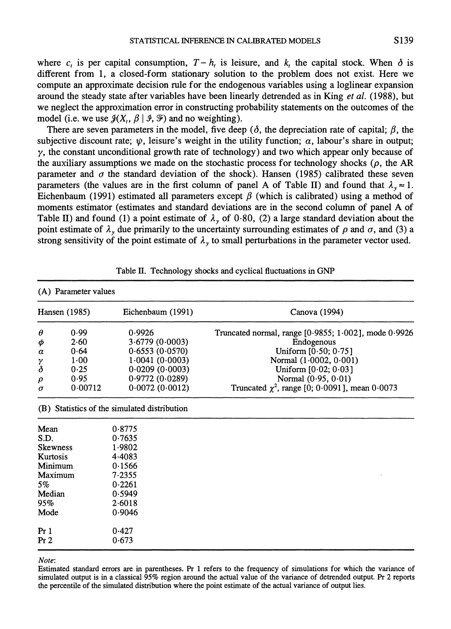where  $c_i$  is per capital consumption,  $T-h_i$  is leisure, and  $k_i$  the capital stock. When  $\delta$  is **different from 1, a closed-form stationary solution to the problem does not exist. Here we compute an approximate decision rule for the endogenous variables using a loglinear expansion around the steady state after variables have been linearly detrended as in King et al. (1988), but we neglect the approximation error in constructing probability statements on the outcomes of the**  model (i.e. we use  $\mathcal{J}(X_t, \beta \mid \mathcal{F}, \mathcal{F})$  and no weighting).

There are seven parameters in the model, five deep ( $\delta$ , the depreciation rate of capital;  $\beta$ , the subjective discount rate;  $\psi$ , leisure's weight in the utility function;  $\alpha$ , labour's share in output; **y, the constant unconditional growth rate of technology) and two which appear only because of**  the auxiliary assumptions we made on the stochastic process for technology shocks ( $\rho$ , the AR parameter and  $\sigma$  the standard deviation of the shock). Hansen (1985) calibrated these seven **parameters (the values are in the first column of panel A of Table II) and found that**  $\lambda_v \approx 1$ **.** Eichenbaum (1991) estimated all parameters except  $\beta$  (which is calibrated) using a method of **moments estimator (estimates and standard deviations are in the second column of panel A of**  Table II) and found (1) a point estimate of  $\lambda$ , of 0.80, (2) a large standard deviation about the point estimate of  $\lambda$ , due primarily to the uncertainty surrounding estimates of  $\rho$  and  $\sigma$ , and (3) a strong sensitivity of the point estimate of  $\lambda$ , to small perturbations in the parameter vector used.

|                 | (A) Parameter values |                                              |                                                           |  |  |  |  |
|-----------------|----------------------|----------------------------------------------|-----------------------------------------------------------|--|--|--|--|
| Hansen (1985)   |                      | Eichenbaum (1991)                            | Canova (1994)                                             |  |  |  |  |
| $\theta$        | 0.99                 | 0.9926                                       | Truncated normal, range $[0.9855; 1.002]$ , mode $0.9926$ |  |  |  |  |
| φ               | 2.60                 | 3.6779(0.0003)                               | Endogenous                                                |  |  |  |  |
| $\alpha$        | 0.64                 | 0.6553(0.0570)                               | Uniform $[0.50; 0.75]$                                    |  |  |  |  |
| γ               | $1-00$               | 1.0041(0.0003)                               | Normal (1.0002, 0.001)                                    |  |  |  |  |
| δ               | 0.25                 | 0.0209(0.0003)                               | Uniform $[0.02; 0.03]$                                    |  |  |  |  |
| ρ               | 0.95                 | 0.9772(0.0289)                               | Normal $(0.95, 0.01)$                                     |  |  |  |  |
| σ               | 0.00712              | 0.0072(0.0012)                               | Truncated $\chi^2$ , range [0; 0.0091], mean 0.0073       |  |  |  |  |
|                 |                      | (B) Statistics of the simulated distribution |                                                           |  |  |  |  |
| Mean            |                      | 0.8775                                       |                                                           |  |  |  |  |
| S.D.            |                      | 0.7635                                       |                                                           |  |  |  |  |
| <b>Skewness</b> |                      | 1.9802                                       |                                                           |  |  |  |  |
| Kurtosis        |                      | 4.4083                                       |                                                           |  |  |  |  |
| Minimum         |                      | 0.1566                                       |                                                           |  |  |  |  |
| Maximum         |                      | 7.2355                                       |                                                           |  |  |  |  |
| 5%              |                      | 0.2261                                       |                                                           |  |  |  |  |
| Median          |                      | 0.5949                                       |                                                           |  |  |  |  |
| 95%             |                      | 2.6018                                       |                                                           |  |  |  |  |
| Mode            |                      | 0.9046                                       |                                                           |  |  |  |  |
| $Pr_1$          |                      | 0.427                                        |                                                           |  |  |  |  |
| Pr <sub>2</sub> |                      | 0.673                                        |                                                           |  |  |  |  |

|  |  |  |  | Table II. Technology shocks and cyclical fluctuations in GNP |  |
|--|--|--|--|--------------------------------------------------------------|--|
|--|--|--|--|--------------------------------------------------------------|--|

**Note:** 

**Estimated standard errors are in parentheses. Pr 1 refers to the frequency of simulations for which the variance of simulated output is in a classical 95% region around the actual value of the variance of detrended output. Pr 2 reports the percentile of the simulated distribution where the point estimate of the actual variance of output lies.**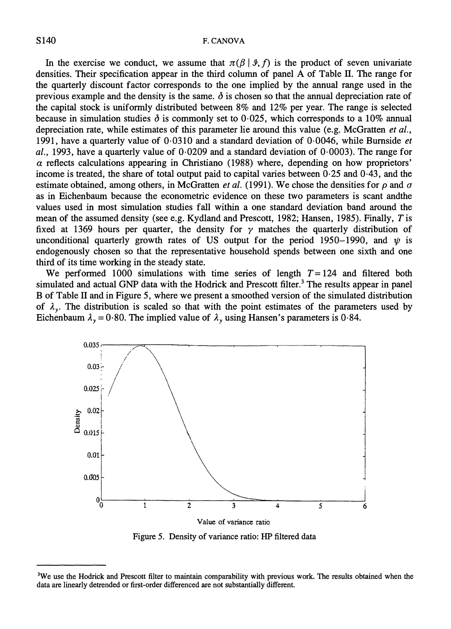In the exercise we conduct, we assume that  $\pi(\beta | \mathcal{I}, f)$  is the product of seven univariate **densities. Their specification appear in the third column of panel A of Table II. The range for the quarterly discount factor corresponds to the one implied by the annual range used in the**  previous example and the density is the same.  $\delta$  is chosen so that the annual depreciation rate of **the capital stock is uniformly distributed between 8% and 12% per year. The range is selected**  because in simulation studies  $\delta$  is commonly set to 0.025, which corresponds to a 10% annual **depreciation rate, while estimates of this parameter lie around this value (e.g. McGratten et al., 1991, have a quarterly value of 0 0310 and a standard deviation of 0 0046, while Bumside et al., 1993, have a quarterly value of 0 0209 and a standard deviation of 0 0003). The range for a reflects calculations appearing in Christiano (1988) where, depending on how proprietors' income is treated, the share of total output paid to capital varies between 0-25 and 0-43, and the**  estimate obtained, among others, in McGratten et al. (1991). We chose the densities for  $\rho$  and  $\sigma$ **as in Eichenbaum because the econometric evidence on these two parameters is scant andthe values used in most simulation studies fall within a one standard deviation band around the mean of the assumed density (see e.g. Kydland and Prescott, 1982; Hansen, 1985). Finally, T is**  fixed at 1369 hours per quarter, the density for  $\gamma$  matches the quarterly distribution of unconditional quarterly growth rates of US output for the period 1950–1990, and  $\psi$  is **endogenously chosen so that the representative household spends between one sixth and one third of its time working in the steady state.** 

We performed 1000 simulations with time series of length  $T = 124$  and filtered both **simulated and actual GNP data with the Hodrick and Prescott filter.3 The results appear in panel B of Table II and in Figure 5, where we present a smoothed version of the simulated distribution**  of  $\lambda_{y}$ . The distribution is scaled so that with the point estimates of the parameters used by Eichenbaum  $\lambda_y = 0.80$ . The implied value of  $\lambda_y$  using Hansen's parameters is 0.84.



**Figure 5. Density of variance ratio: HP filtered data** 

**<sup>3</sup>We use the Hodrick and Prescott filter to maintain comparability with previous work. The results obtained when the data are linearly detrended or first-order differenced are not substantially different.**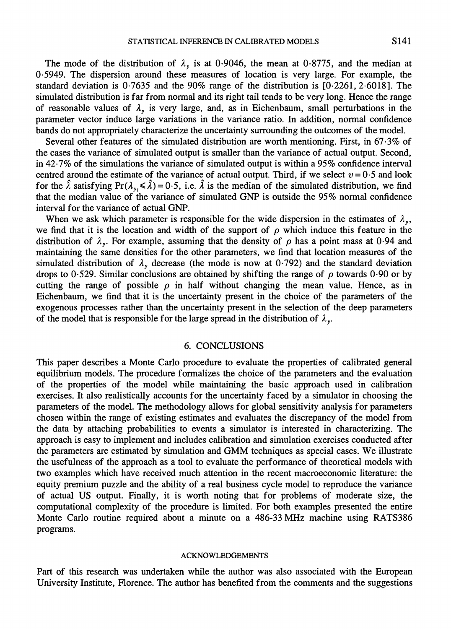The mode of the distribution of  $\lambda$ , is at 0.9046, the mean at 0.8775, and the median at **0-5949. The dispersion around these measures of location is very large. For example, the standard deviation is 0-7635 and the 90% range of the distribution is [0-2261, 2\*6018]. The simulated distribution is far from normal and its right tail tends to be very long. Hence the range**  of reasonable values of  $\lambda$ , is very large, and, as in Eichenbaum, small perturbations in the **parameter vector induce large variations in the variance ratio. In addition, normal confidence bands do not appropriately characterize the uncertainty surrounding the outcomes of the model.** 

**Several other features of the simulated distribution are worth mentioning. First, in 67-3% of the cases the variance of simulated output is smaller than the variance of actual output. Second, in 42-7% of the simulations the variance of simulated output is within a 95% confidence interval**  centred around the estimate of the variance of actual output. Third, if we select  $v = 0.5$  and look for the  $\hat{\lambda}$  satisfying Pr( $\lambda_{y_i} \le \hat{\lambda}$ ) = 0.5, i.e.  $\hat{\lambda}$  is the median of the simulated distribution, we find **that the median value of the variance of simulated GNP is outside the 95% normal confidence interval for the variance of actual GNP.** 

When we ask which parameter is responsible for the wide dispersion in the estimates of  $\lambda_y$ , we find that it is the location and width of the support of  $\rho$  which induce this feature in the distribution of  $\lambda_y$ . For example, assuming that the density of  $\rho$  has a point mass at 0.94 and **maintaining the same densities for the other parameters, we find that location measures of the**  simulated distribution of  $\lambda$ , decrease (the mode is now at 0.792) and the standard deviation drops to  $0.529$ . Similar conclusions are obtained by shifting the range of  $\rho$  towards  $0.90$  or by cutting the range of possible  $\rho$  in half without changing the mean value. Hence, as in **Eichenbaum, we find that it is the uncertainty present in the choice of the parameters of the exogenous processes rather than the uncertainty present in the selection of the deep parameters**  of the model that is responsible for the large spread in the distribution of  $\lambda_{\nu}$ .

## **6. CONCLUSIONS**

**This paper describes a Monte Carlo procedure to evaluate the properties of calibrated general equilibrium models. The procedure formalizes the choice of the parameters and the evaluation of the properties of the model while maintaining the basic approach used in calibration exercises. It also realistically accounts for the uncertainty faced by a simulator in choosing the parameters of the model. The methodology allows for global sensitivity analysis for parameters chosen within the range of existing estimates and evaluates the discrepancy of the model from the data by attaching probabilities to events a simulator is interested in characterizing. The approach is easy to implement and includes calibration and simulation exercises conducted after the parameters are estimated by simulation and GMM techniques as special cases. We illustrate the usefulness of the approach as a tool to evaluate the performance of theoretical models with two examples which have received much attention in the recent macroeconomic literature: the equity premium puzzle and the ability of a real business cycle model to reproduce the variance of actual US output. Finally, it is worth noting that for problems of moderate size, the computational complexity of the procedure is limited. For both examples presented the entire Monte Carlo routine required about a minute on a 486-33 MHz machine using RATS386 programs.** 

#### **ACKNOWLEDGEMENTS**

**Part of this research was undertaken while the author was also associated with the European University Institute, Florence. The author has benefited from the comments and the suggestions**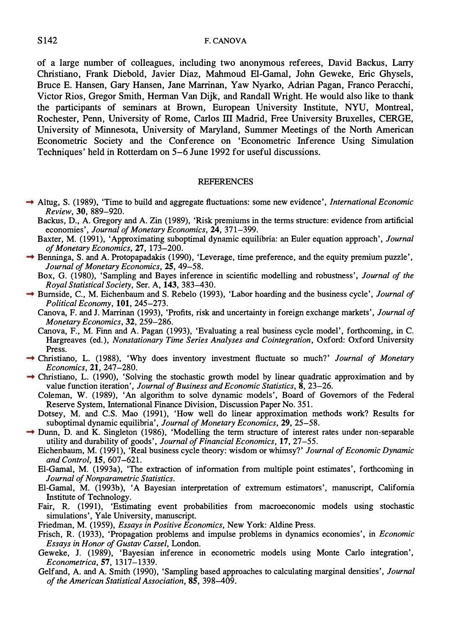**of a large number of colleagues, including two anonymous referees, David Backus, Larry Christiano, Frank Diebold, Javier Diaz, Mahmoud El-Gamal, John Geweke, Eric Ghysels, Bruce E. Hansen, Gary Hansen, Jane Marrinan, Yaw Nyarko, Adrian Pagan, Franco Peracchi, Victor Rios, Gregor Smith, Herman Van Dijk, and Randall Wright. He would also like to thank the participants of seminars at Brown, European University Institute, NYU, Montreal, Rochester, Penn, University of Rome, Carlos III Madrid, Free University Bruxelles, CERGE, University of Minnesota, University of Maryland, Summer Meetings of the North American Econometric Society and the Conference on 'Econometric Inference Using Simulation Techniques' held in Rotterdam on 5-6 June 1992 for useful discussions.** 

#### **REFERENCES**

- → Altug, S. (1989), 'Time to build and aggregate fluctuations: some new evidence', *International Economic* **Review, 30, 889-920.** 
	- **Backus, D., A. Gregory and A. Zin (1989), 'Risk premiums in the terms structure: evidence from artificial economies', Journal of Monetary Economics, 24, 371-399.**
	- **Baxter, M. (1991), 'Approximating suboptimal dynamic equilibria: an Euler equation approach', Journal of Monetary Economics, 27, 173-200.**
- → Benninga, S. and A. Protopapadakis (1990), 'Leverage, time preference, and the equity premium puzzle', **Journal of Monetary Economics, 25, 49-58.** 
	- **Box, G. (1980), 'Sampling and Bayes inference in scientific modelling and robustness', Journal of the Royal Statistical Society, Ser. A, 143, 383-430.**
- → Burnside, C., M. Eichenbaum and S. Rebelo (1993), 'Labor hoarding and the business cycle', *Journal of* **Political Economy, 101, 245-273.** 
	- **Canova, F. and J. Marrinan (1993), 'Profits, risk and uncertainty in foreign exchange markets', Journal of Monetary Economics, 32, 259-286.**
	- **Canova, F., M. Finn and A. Pagan (1993), 'Evaluating a real business cycle model', forthcoming, in C. Hargreaves (ed.), Nonstationary Time Series Analyses and Cointegration, Oxford: Oxford University Press.**
- **Christiano, L. (1988), 'Why does inventory investment fluctuate so much?' Journal of Monetary Economics, 21, 247-280.**
- **Christiano, L. (1990), 'Solving the stochastic growth model by linear quadratic approximation and by value function iteration', Journal of Business and Economic Statistics, 8, 23-26.** 
	- **Coleman, W. (1989), 'An algorithm to solve dynamic models', Board of Governors of the Federal Reserve System, International Finance Division, Discussion Paper No. 351.**
	- **Dotsey, M. and C.S. Mao (1991), 'How well do linear approximation methods work? Results for suboptimal dynamic equilibria', Journal of Monetary Economics, 29, 25-58.**
- → Dunn, D. and K. Singleton (1986), 'Modelling the term structure of interest rates under non-separable **utility and durability of goods', Journal of Financial Economics, 17, 27-55.** 
	- **Eichenbaum, M. (1991), 'Real business cycle theory: wisdom or whimsy?' Journal of Economic Dynamic and Control, 15, 607-621.**
	- **El-Gamal, M. (1993a), 'The extraction of information from multiple point estimates', forthcoming in Journal of Nonparametric Statistics.**
	- **El-Gamal, M. (1993b), 'A Bayesian interpretation of extremum estimators', manuscript, California Institute of Technology.**
	- **Fair, R. (1991), 'Estimating event probabilities from macroeconomic models using stochastic simulations', Yale University, manuscript.**
	- **Friedman, M. (1959), Essays in Positive Economics, New York: Aldine Press.**
	- **Frisch, R. (1933), 'Propagation problems and impulse problems in dynamics economies', in Economic Essays in Honor of Gustav Cassel, London.**
	- **Geweke, J. (1989), 'Bayesian inference in econometric models using Monte Carlo integration', Econometrica, 57, 1317-1339.**
	- **Gelfand, A. and A. Smith (1990), 'Sampling based approaches to calculating marginal densities', Journal of the American Statistical Association, 85, 398-409.**

**S142**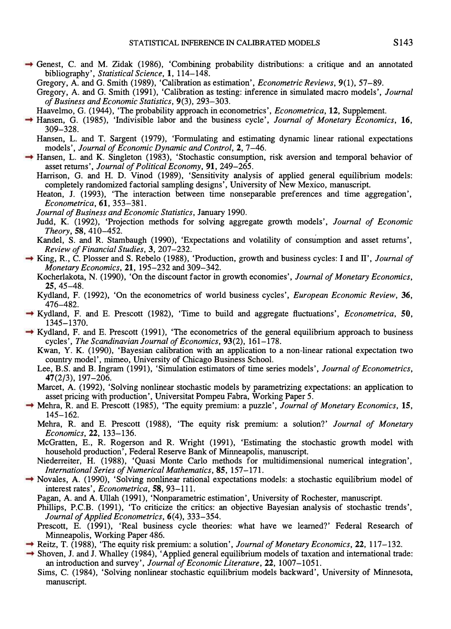- $\rightarrow$  Genest, C. and M. Zidak (1986), 'Combining probability distributions: a critique and an annotated **bibliography', Statistical Science, 1, 114-148. Gregory, A. and G. Smith (1989), 'Calibration as estimation', Econometric Reviews, 9(1), 57-89.** 
	- **Gregory, A. and G. Smith (1991), 'Calibration as testing: inference in simulated macro models', Journal of Business and Economic Statistics, 9(3), 293-303.**
	- **Haavelmo, G. (1944), 'The probability approach in econometrics', Econometrica, 12, Supplement.**
- → Hansen, G. (1985), 'Indivisible labor and the business cycle', *Journal of Monetary Economics*, 16, **309-328.** 
	- **Hansen, L. and T. Sargent (1979), 'Formulating and estimating dynamic linear rational expectations models', Journal of Economic Dynamic and Control, 2, 7-46.**
- **Hansen, L. and K. Singleton (1983), 'Stochastic consumption, risk aversion and temporal behavior of asset returs', Journal of Political Economy, 91, 249-265.** 
	- **Harrison, G. and H. D. Vinod (1989), 'Sensitivity analysis of applied general equilibrium models: completely randomized factorial sampling designs', University of New Mexico, manuscript.**
	- **Heaton, J. (1993), 'The interaction between time nonseparable preferences and time aggregation', Econometrica, 61, 353-381.**
	- **Journal of Business and Economic Statistics, January 1990.**
	- **Judd, K. (1992), 'Projection methods for solving aggregate growth models', Journal of Economic Theory, 58, 410-452.**
	- **Kandel, S. and R. Stambaugh (1990), 'Expectations and volatility of consumption and asset returns', Review of Financial Studies, 3, 207-232.**
- **King, R., C. Plosser and S. Rebelo (1988), 'Production, growth and business cycles: I and II', Journal of Monetary Economics, 21, 195-232 and 309-342.** 
	- **Kocherlakota, N. (1990), 'On the discount factor in growth economies', Journal of Monetary Economics, 25, 45-48.**
	- **Kydland, F. (1992), 'On the econometrics of world business cycles', European Economic Review, 36, 476-482.**
- **Kydland, F. and E. Prescott (1982), 'Time to build and aggregate fluctuations', Econometrica, 50, 1345-1370.**
- **Kydland, F. and E. Prescott (1991), 'The econometrics of the general equilibrium approach to business cycles', The Scandinavian Journal of Economics, 93(2), 161-178.** 
	- **Kwan, Y. K. (1990), 'Bayesian calibration with an application to a non-linear rational expectation two country model', mimeo, University of Chicago Business School.**
	- **Lee, B.S. and B. Ingram (1991), 'Simulation estimators of time series models', Journal of Econometrics, 47(2/3), 197-206.**
	- **Marcet, A. (1992), 'Solving nonlinear stochastic models by parametrizing expectations: an application to asset pricing with production', Universitat Pompeu Fabra, Working Paper 5.**
- → Mehra, R. and E. Prescott (1985), 'The equity premium: a puzzle', *Journal of Monetary Economics*, 15, **145-162.** 
	- **Mehra, R. and E. Prescott (1988), 'The equity risk premium: a solution?' Journal of Monetary Economics, 22, 133-136.**
	- **McGratten, E., R. Rogerson and R. Wright (1991), 'Estimating the stochastic growth model with household production', Federal Reserve Bank of Minneapolis, manuscript.**
	- **Niederreiter, H. (1988), 'Quasi Monte Carlo methods for multidimensional numerical integration', International Series of Numerical Mathematics, 85, 157-171.**
- **Novales, A. (1990), 'Solving nonlinear rational expectations models: a stochastic equilibrium model of interest rates', Econometrica, 58, 93-111.** 
	- **Pagan, A. and A. Ullah (1991), 'Nonparametric estimation', University of Rochester, manuscript.**
	- **Phillips, P.C.B. (1991), 'To criticize the critics: an objective Bayesian analysis of stochastic trends', Journal of Applied Econometrics, 6(4), 333-354.**
	- **Prescott, E. (1991), 'Real business cycle theories: what have we learned?' Federal Research of Minneapolis, Working Paper 486.**
- → Reitz, T. (1988), 'The equity risk premium: a solution', *Journal of Monetary Economics*, 22, 117–132.
- → Shoven, J. and J. Whalley (1984), 'Applied general equilibrium models of taxation and international trade: **an introduction and survey', Journal of Economic Literature, 22, 1007-1051.** 
	- **Sims, C. (1984), 'Solving nonlinear stochastic equilibrium models backward', University of Minnesota, manuscript.**